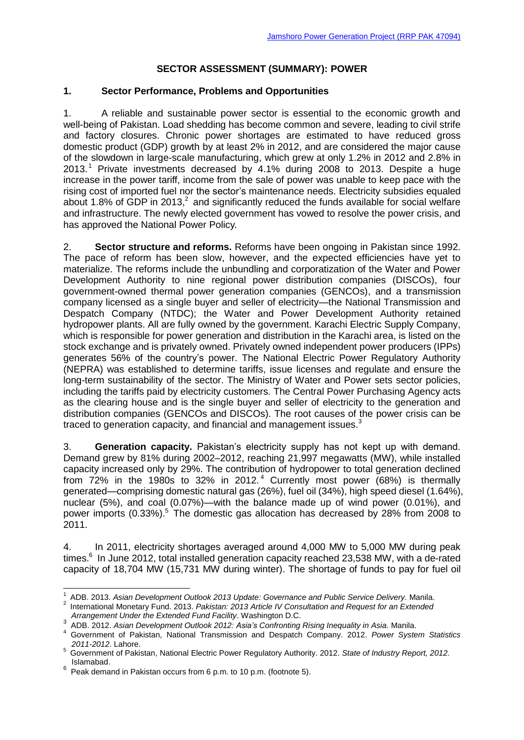## **SECTOR ASSESSMENT (SUMMARY): POWER**

#### **1. Sector Performance, Problems and Opportunities**

1. A reliable and sustainable power sector is essential to the economic growth and well-being of Pakistan. Load shedding has become common and severe, leading to civil strife and factory closures. Chronic power shortages are estimated to have reduced gross domestic product (GDP) growth by at least 2% in 2012, and are considered the major cause of the slowdown in large-scale manufacturing, which grew at only 1.2% in 2012 and 2.8% in 2013. <sup>1</sup> Private investments decreased by 4.1% during 2008 to 2013. Despite a huge increase in the power tariff, income from the sale of power was unable to keep pace with the rising cost of imported fuel nor the sector's maintenance needs. Electricity subsidies equaled about 1.8% of GDP in 2013, $2$  and significantly reduced the funds available for social welfare and infrastructure. The newly elected government has vowed to resolve the power crisis, and has approved the National Power Policy.

2. **Sector structure and reforms.** Reforms have been ongoing in Pakistan since 1992. The pace of reform has been slow, however, and the expected efficiencies have yet to materialize. The reforms include the unbundling and corporatization of the Water and Power Development Authority to nine regional power distribution companies (DISCOs), four government-owned thermal power generation companies (GENCOs), and a transmission company licensed as a single buyer and seller of electricity—the National Transmission and Despatch Company (NTDC); the Water and Power Development Authority retained hydropower plants. All are fully owned by the government. Karachi Electric Supply Company, which is responsible for power generation and distribution in the Karachi area, is listed on the stock exchange and is privately owned. Privately owned independent power producers (IPPs) generates 56% of the country's power. The National Electric Power Regulatory Authority (NEPRA) was established to determine tariffs, issue licenses and regulate and ensure the long-term sustainability of the sector. The Ministry of Water and Power sets sector policies, including the tariffs paid by electricity customers. The Central Power Purchasing Agency acts as the clearing house and is the single buyer and seller of electricity to the generation and distribution companies (GENCOs and DISCOs). The root causes of the power crisis can be traced to generation capacity, and financial and management issues.<sup>3</sup>

3. **Generation capacity.** Pakistan's electricity supply has not kept up with demand. Demand grew by 81% during 2002–2012, reaching 21,997 megawatts (MW), while installed capacity increased only by 29%. The contribution of hydropower to total generation declined from 72% in the 1980s to 32% in 2012. <sup>4</sup> Currently most power (68%) is thermally generated—comprising domestic natural gas (26%), fuel oil (34%), high speed diesel (1.64%), nuclear (5%), and coal (0.07%)—with the balance made up of wind power (0.01%), and power imports (0.33%).<sup>5</sup> The domestic gas allocation has decreased by 28% from 2008 to 2011.

4. In 2011, electricity shortages averaged around 4,000 MW to 5,000 MW during peak times.<sup>6</sup> In June 2012, total installed generation capacity reached 23,538 MW, with a de-rated capacity of 18,704 MW (15,731 MW during winter). The shortage of funds to pay for fuel oil

 1 ADB. 2013. *Asian Development Outlook 2013 Update: Governance and Public Service Delivery.* Manila.

<sup>2</sup> International Monetary Fund. 2013. *Pakistan: 2013 Article IV Consultation and Request for an Extended Arrangement Under the Extended Fund Facility*. Washington D.C.

<sup>3</sup> ADB. 2012. *Asian Development Outlook 2012: Asia's Confronting Rising Inequality in Asia.* Manila.

<sup>4</sup> Government of Pakistan, National Transmission and Despatch Company. 2012. *Power System Statistics 2011-2012*. Lahore.

<sup>5</sup> Government of Pakistan, National Electric Power Regulatory Authority. 2012. *State of Industry Report, 2012.* Islamabad.

 $6$  Peak demand in Pakistan occurs from 6 p.m. to 10 p.m. (footnote 5).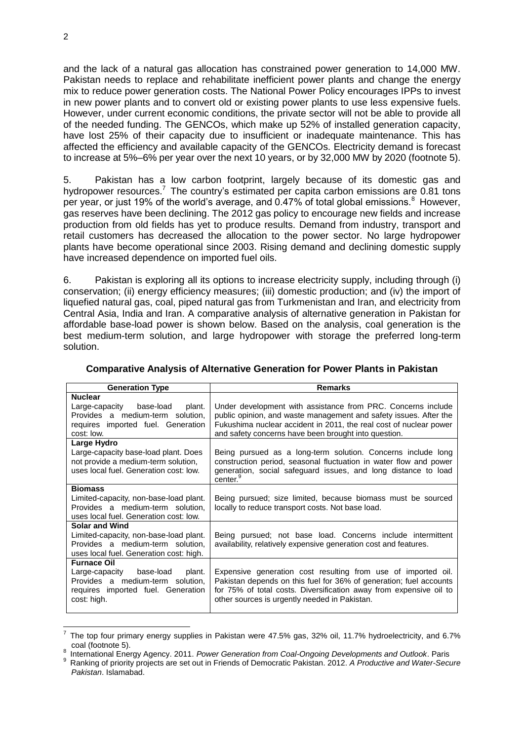and the lack of a natural gas allocation has constrained power generation to 14,000 MW. Pakistan needs to replace and rehabilitate inefficient power plants and change the energy mix to reduce power generation costs. The National Power Policy encourages IPPs to invest in new power plants and to convert old or existing power plants to use less expensive fuels. However, under current economic conditions, the private sector will not be able to provide all of the needed funding. The GENCOs, which make up 52% of installed generation capacity, have lost 25% of their capacity due to insufficient or inadequate maintenance. This has affected the efficiency and available capacity of the GENCOs. Electricity demand is forecast to increase at 5%–6% per year over the next 10 years, or by 32,000 MW by 2020 (footnote 5).

5. Pakistan has a low carbon footprint, largely because of its domestic gas and hydropower resources.<sup>7</sup> The country's estimated per capita carbon emissions are  $0.81$  tons per year, or just 19% of the world's average, and 0.47% of total global emissions.<sup>8</sup> However, gas reserves have been declining. The 2012 gas policy to encourage new fields and increase production from old fields has yet to produce results. Demand from industry, transport and retail customers has decreased the allocation to the power sector. No large hydropower plants have become operational since 2003. Rising demand and declining domestic supply have increased dependence on imported fuel oils.

6. Pakistan is exploring all its options to increase electricity supply, including through (i) conservation; (ii) energy efficiency measures; (iii) domestic production; and (iv) the import of liquefied natural gas, coal, piped natural gas from Turkmenistan and Iran, and electricity from Central Asia, India and Iran. A comparative analysis of alternative generation in Pakistan for affordable base-load power is shown below. Based on the analysis, coal generation is the best medium-term solution, and large hydropower with storage the preferred long-term solution.

| <b>Generation Type</b>                                                                                                      | <b>Remarks</b>                                                                                                                                                                                                                                                  |  |  |
|-----------------------------------------------------------------------------------------------------------------------------|-----------------------------------------------------------------------------------------------------------------------------------------------------------------------------------------------------------------------------------------------------------------|--|--|
| <b>Nuclear</b>                                                                                                              |                                                                                                                                                                                                                                                                 |  |  |
| Large-capacity base-load<br>plant.<br>Provides a medium-term solution,<br>requires imported fuel. Generation<br>cost: low.  | Under development with assistance from PRC. Concerns include<br>public opinion, and waste management and safety issues. After the<br>Fukushima nuclear accident in 2011, the real cost of nuclear power<br>and safety concerns have been brought into question. |  |  |
| Large Hydro                                                                                                                 |                                                                                                                                                                                                                                                                 |  |  |
| Large-capacity base-load plant. Does<br>not provide a medium-term solution,<br>uses local fuel. Generation cost: low.       | Being pursued as a long-term solution. Concerns include long<br>construction period, seasonal fluctuation in water flow and power<br>generation, social safeguard issues, and long distance to load<br>center. <sup>9</sup>                                     |  |  |
| <b>Biomass</b>                                                                                                              |                                                                                                                                                                                                                                                                 |  |  |
| Limited-capacity, non-base-load plant.<br>Provides a medium-term solution,<br>uses local fuel. Generation cost: low.        | Being pursued; size limited, because biomass must be sourced<br>locally to reduce transport costs. Not base load.                                                                                                                                               |  |  |
| <b>Solar and Wind</b>                                                                                                       |                                                                                                                                                                                                                                                                 |  |  |
| Limited-capacity, non-base-load plant.<br>Provides a medium-term solution,<br>uses local fuel. Generation cost: high.       | Being pursued; not base load. Concerns include intermittent<br>availability, relatively expensive generation cost and features.                                                                                                                                 |  |  |
| <b>Furnace Oil</b>                                                                                                          |                                                                                                                                                                                                                                                                 |  |  |
| Large-capacity base-load<br>plant.<br>Provides a medium-term solution,<br>requires imported fuel. Generation<br>cost: high. | Expensive generation cost resulting from use of imported oil.<br>Pakistan depends on this fuel for 36% of generation; fuel accounts<br>for 75% of total costs. Diversification away from expensive oil to<br>other sources is urgently needed in Pakistan.      |  |  |

**Comparative Analysis of Alternative Generation for Power Plants in Pakistan**

 $\overline{\phantom{a}}$ 

<sup>7</sup> The top four primary energy supplies in Pakistan were 47.5% gas, 32% oil, 11.7% hydroelectricity, and 6.7% coal (footnote 5).

<sup>8</sup> International Energy Agency. 2011. *Power Generation from Coal-Ongoing Developments and Outlook*. Paris

<sup>9</sup> Ranking of priority projects are set out in Friends of Democratic Pakistan. 2012. *A Productive and Water-Secure Pakistan*. Islamabad.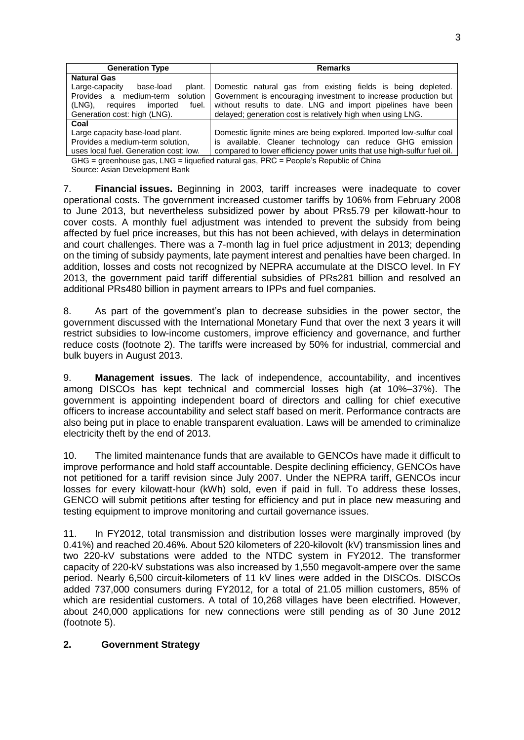| <b>Generation Type</b>                                                                  | <b>Remarks</b>                                                          |  |  |  |
|-----------------------------------------------------------------------------------------|-------------------------------------------------------------------------|--|--|--|
| <b>Natural Gas</b>                                                                      |                                                                         |  |  |  |
| Large-capacity<br>base-load<br>plant.                                                   | Domestic natural gas from existing fields is being depleted.            |  |  |  |
| solution<br>Provides a medium-term                                                      | Government is encouraging investment to increase production but         |  |  |  |
| (LNG),<br>fuel.<br>imported<br>requires                                                 | without results to date. LNG and import pipelines have been             |  |  |  |
| Generation cost: high (LNG).                                                            | delayed; generation cost is relatively high when using LNG.             |  |  |  |
| Coal                                                                                    |                                                                         |  |  |  |
| Large capacity base-load plant.                                                         | Domestic lignite mines are being explored. Imported low-sulfur coal     |  |  |  |
| Provides a medium-term solution,                                                        | is available. Cleaner technology can reduce GHG emission                |  |  |  |
| uses local fuel. Generation cost: low.                                                  | compared to lower efficiency power units that use high-sulfur fuel oil. |  |  |  |
| $GHG -$ greenhouse ass $ING -$ liquetied natural ass $PRC =$ People's Republic of China |                                                                         |  |  |  |

s, LNG = liquefied natural gas, PRC = People's Republic of China Source: Asian Development Bank

7. **Financial issues.** Beginning in 2003, tariff increases were inadequate to cover operational costs. The government increased customer tariffs by 106% from February 2008 to June 2013, but nevertheless subsidized power by about PRs5.79 per kilowatt-hour to cover costs. A monthly fuel adjustment was intended to prevent the subsidy from being affected by fuel price increases, but this has not been achieved, with delays in determination and court challenges. There was a 7-month lag in fuel price adjustment in 2013; depending on the timing of subsidy payments, late payment interest and penalties have been charged. In addition, losses and costs not recognized by NEPRA accumulate at the DISCO level. In FY 2013, the government paid tariff differential subsidies of PRs281 billion and resolved an additional PRs480 billion in payment arrears to IPPs and fuel companies.

8. As part of the government's plan to decrease subsidies in the power sector, the government discussed with the International Monetary Fund that over the next 3 years it will restrict subsidies to low-income customers, improve efficiency and governance, and further reduce costs (footnote 2). The tariffs were increased by 50% for industrial, commercial and bulk buyers in August 2013.

9. **Management issues**. The lack of independence, accountability, and incentives among DISCOs has kept technical and commercial losses high (at 10%–37%). The government is appointing independent board of directors and calling for chief executive officers to increase accountability and select staff based on merit. Performance contracts are also being put in place to enable transparent evaluation. Laws will be amended to criminalize electricity theft by the end of 2013.

10. The limited maintenance funds that are available to GENCOs have made it difficult to improve performance and hold staff accountable. Despite declining efficiency, GENCOs have not petitioned for a tariff revision since July 2007. Under the NEPRA tariff, GENCOs incur losses for every kilowatt-hour (kWh) sold, even if paid in full. To address these losses, GENCO will submit petitions after testing for efficiency and put in place new measuring and testing equipment to improve monitoring and curtail governance issues.

11. In FY2012, total transmission and distribution losses were marginally improved (by 0.41%) and reached 20.46%. About 520 kilometers of 220-kilovolt (kV) transmission lines and two 220-kV substations were added to the NTDC system in FY2012. The transformer capacity of 220-kV substations was also increased by 1,550 megavolt-ampere over the same period. Nearly 6,500 circuit-kilometers of 11 kV lines were added in the DISCOs. DISCOs added 737,000 consumers during FY2012, for a total of 21.05 million customers, 85% of which are residential customers. A total of 10,268 villages have been electrified. However, about 240,000 applications for new connections were still pending as of 30 June 2012 (footnote 5).

## **2. Government Strategy**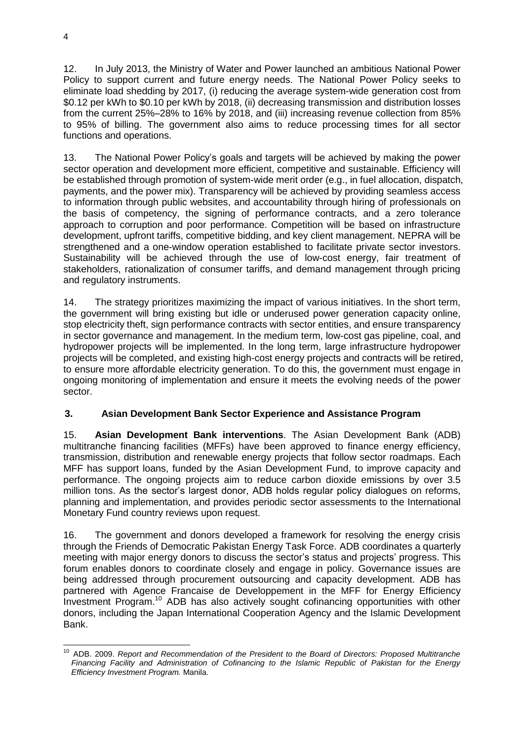12. In July 2013, the Ministry of Water and Power launched an ambitious National Power Policy to support current and future energy needs. The National Power Policy seeks to eliminate load shedding by 2017, (i) reducing the average system-wide generation cost from \$0.12 per kWh to \$0.10 per kWh by 2018, (ii) decreasing transmission and distribution losses from the current 25%–28% to 16% by 2018, and (iii) increasing revenue collection from 85% to 95% of billing. The government also aims to reduce processing times for all sector functions and operations.

13. The National Power Policy's goals and targets will be achieved by making the power sector operation and development more efficient, competitive and sustainable. Efficiency will be established through promotion of system-wide merit order (e.g., in fuel allocation, dispatch, payments, and the power mix). Transparency will be achieved by providing seamless access to information through public websites, and accountability through hiring of professionals on the basis of competency, the signing of performance contracts, and a zero tolerance approach to corruption and poor performance. Competition will be based on infrastructure development, upfront tariffs, competitive bidding, and key client management. NEPRA will be strengthened and a one-window operation established to facilitate private sector investors. Sustainability will be achieved through the use of low-cost energy, fair treatment of stakeholders, rationalization of consumer tariffs, and demand management through pricing and regulatory instruments.

14. The strategy prioritizes maximizing the impact of various initiatives. In the short term, the government will bring existing but idle or underused power generation capacity online, stop electricity theft, sign performance contracts with sector entities, and ensure transparency in sector governance and management. In the medium term, low-cost gas pipeline, coal, and hydropower projects will be implemented. In the long term, large infrastructure hydropower projects will be completed, and existing high-cost energy projects and contracts will be retired, to ensure more affordable electricity generation. To do this, the government must engage in ongoing monitoring of implementation and ensure it meets the evolving needs of the power sector.

# **3. Asian Development Bank Sector Experience and Assistance Program**

15. **Asian Development Bank interventions**. The Asian Development Bank (ADB) multitranche financing facilities (MFFs) have been approved to finance energy efficiency, transmission, distribution and renewable energy projects that follow sector roadmaps. Each MFF has support loans, funded by the Asian Development Fund, to improve capacity and performance. The ongoing projects aim to reduce carbon dioxide emissions by over 3.5 million tons. As the sector's largest donor, ADB holds regular policy dialogues on reforms, planning and implementation, and provides periodic sector assessments to the International Monetary Fund country reviews upon request.

16. The government and donors developed a framework for resolving the energy crisis through the Friends of Democratic Pakistan Energy Task Force. ADB coordinates a quarterly meeting with major energy donors to discuss the sector's status and projects' progress. This forum enables donors to coordinate closely and engage in policy. Governance issues are being addressed through procurement outsourcing and capacity development. ADB has partnered with Agence Francaise de Developpement in the MFF for Energy Efficiency Investment Program. <sup>10</sup> ADB has also actively sought cofinancing opportunities with other donors, including the Japan International Cooperation Agency and the Islamic Development Bank.

<sup>-</sup><sup>10</sup> ADB. 2009. *Report and Recommendation of the President to the Board of Directors: Proposed Multitranche Financing Facility and Administration of Cofinancing to the Islamic Republic of Pakistan for the Energy Efficiency Investment Program.* Manila.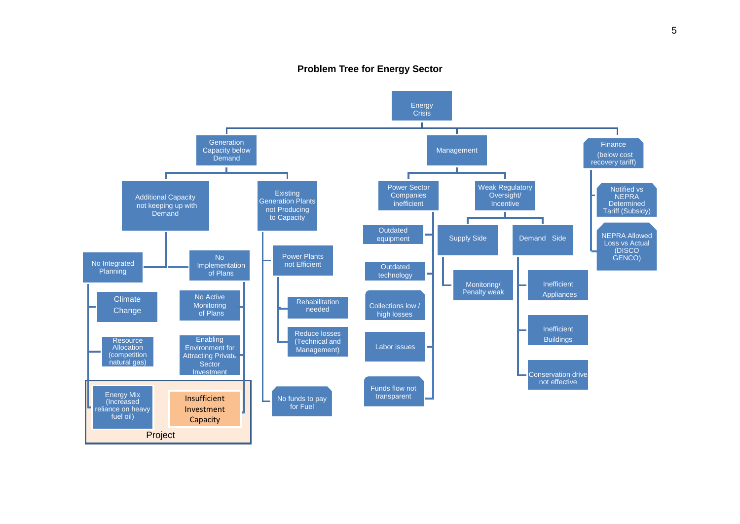### **Problem Tree for Energy Sector**